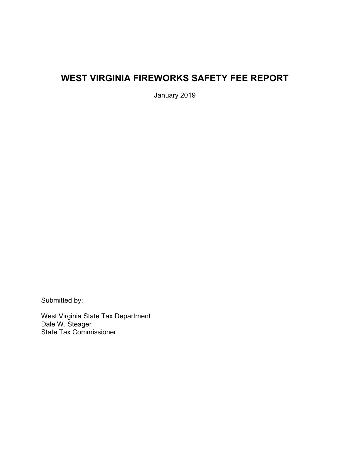# **WEST VIRGINIA FIREWORKS SAFETY FEE REPORT**

January 2019

Submitted by:

West Virginia State Tax Department Dale W. Steager State Tax Commissioner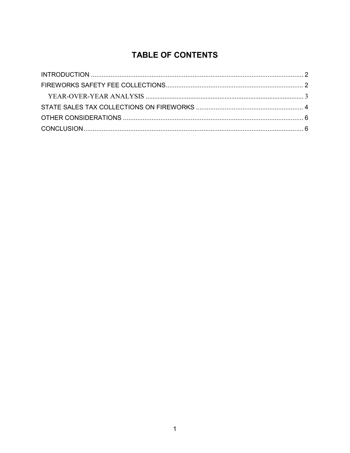## **TABLE OF CONTENTS**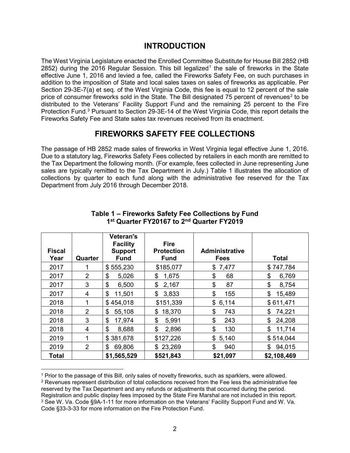### **INTRODUCTION**

<span id="page-2-0"></span>The West Virginia Legislature enacted the Enrolled Committee Substitute for House Bill 2852 (HB 2852) during the 20[1](#page-2-2)6 Regular Session. This bill legalized<sup>1</sup> the sale of fireworks in the State effective June 1, 2016 and levied a fee, called the Fireworks Safety Fee, on such purchases in addition to the imposition of State and local sales taxes on sales of fireworks as applicable. Per Section 29-3E-7(a) et seq. of the West Virginia Code, this fee is equal to 12 percent of the sale price of consumer fireworks sold in the State. The Bill designated 75 percent of revenues<sup>[2](#page-2-3)</sup> to be distributed to the Veterans' Facility Support Fund and the remaining 25 percent to the Fire Protection Fund.[3](#page-2-4) Pursuant to Section 29-3E-14 of the West Virginia Code, this report details the Fireworks Safety Fee and State sales tax revenues received from its enactment.

### **FIREWORKS SAFETY FEE COLLECTIONS**

<span id="page-2-1"></span>The passage of HB 2852 made sales of fireworks in West Virginia legal effective June 1, 2016. Due to a statutory lag, Fireworks Safety Fees collected by retailers in each month are remitted to the Tax Department the following month. (For example, fees collected in June representing June sales are typically remitted to the Tax Department in July.) Table 1 illustrates the allocation of collections by quarter to each fund along with the administrative fee reserved for the Tax Department from July 2016 through December 2018.

| <b>Fiscal</b><br>Year | Quarter        | <b>Veteran's</b><br><b>Facility</b><br><b>Support</b><br><b>Fund</b> | <b>Fire</b><br><b>Protection</b><br><b>Fund</b> | <b>Administrative</b><br><b>Fees</b> | <b>Total</b> |
|-----------------------|----------------|----------------------------------------------------------------------|-------------------------------------------------|--------------------------------------|--------------|
| 2017                  |                | \$555,230                                                            | \$185,077                                       | 7,477<br>\$                          | \$747,784    |
| 2017                  | $\overline{2}$ | \$<br>5,026                                                          | 1,675<br>\$                                     | \$<br>68                             | 6,769<br>\$  |
| 2017                  | 3              | \$<br>6,500                                                          | \$<br>2,167                                     | \$<br>87                             | \$<br>8,754  |
| 2017                  | 4              | \$<br>11,501                                                         | \$<br>3,833                                     | \$<br>155                            | \$<br>15,489 |
| 2018                  | 1              | \$454,018                                                            | \$151,339                                       | \$<br>6,114                          | \$611,471    |
| 2018                  | 2              | 55,108<br>\$                                                         | 18,370<br>\$                                    | \$<br>743                            | \$<br>74,221 |
| 2018                  | 3              | \$<br>17,974                                                         | \$<br>5,991                                     | \$<br>243                            | \$<br>24,208 |
| 2018                  | 4              | \$<br>8,688                                                          | \$<br>2,896                                     | \$<br>130                            | \$<br>11,714 |
| 2019                  | 1              | \$381,678                                                            | \$127,226                                       | \$<br>5,140                          | \$514,044    |
| 2019                  | 2              | \$<br>69,806                                                         | \$23,269                                        | \$<br>940                            | 94,015<br>\$ |
| <b>Total</b>          |                | \$1,565,529                                                          | \$521,843                                       | \$21,097                             | \$2,108,469  |

#### **Table 1 – Fireworks Safety Fee Collections by Fund 1st Quarter FY20167 to 2nd Quarter FY2019**

 $\overline{a}$ 

<span id="page-2-4"></span><span id="page-2-3"></span><span id="page-2-2"></span><sup>1</sup> Prior to the passage of this Bill, only sales of novelty fireworks, such as sparklers, were allowed. <sup>2</sup> Revenues represent distribution of total collections received from the Fee less the administrative fee reserved by the Tax Department and any refunds or adjustments that occurred during the period. Registration and public display fees imposed by the State Fire Marshal are not included in this report. <sup>3</sup> See W. Va. Code §9A-1-11 for more information on the Veterans' Facility Support Fund and W. Va. Code §33-3-33 for more information on the Fire Protection Fund.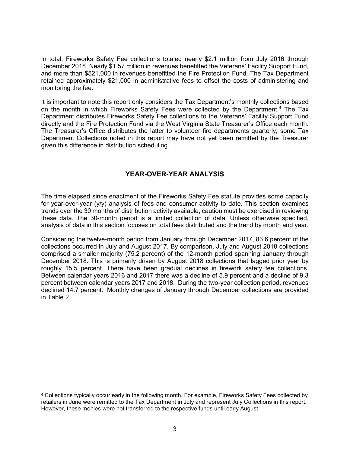In total, Fireworks Safety Fee collections totaled nearly \$2.1 million from July 2016 through December 2018. Nearly \$1.57 million in revenues benefitted the Veterans' Facility Support Fund, and more than \$521,000 in revenues benefitted the Fire Protection Fund. The Tax Department retained approximately \$21,000 in administrative fees to offset the costs of administering and monitoring the fee.

It is important to note this report only considers the Tax Department's monthly collections based on the month in which Fireworks Safety Fees were collected by the Department.[4](#page-3-1) The Tax Department distributes Fireworks Safety Fee collections to the Veterans' Facility Support Fund directly and the Fire Protection Fund via the West Virginia State Treasurer's Office each month. The Treasurer's Office distributes the latter to volunteer fire departments quarterly; some Tax Department Collections noted in this report may have not yet been remitted by the Treasurer given this difference in distribution scheduling.

### **YEAR-OVER-YEAR ANALYSIS**

<span id="page-3-0"></span>The time elapsed since enactment of the Fireworks Safety Fee statute provides some capacity for year-over-year (y/y) analysis of fees and consumer activity to date. This section examines trends over the 30 months of distribution activity available, caution must be exercised in reviewing these data. The 30-month period is a limited collection of data. Unless otherwise specified, analysis of data in this section focuses on total fees distributed and the trend by month and year.

Considering the twelve-month period from January through December 2017, 83.6 percent of the collections occurred in July and August 2017. By comparison, July and August 2018 collections comprised a smaller majority (75.2 percent) of the 12-month period spanning January through December 2018. This is primarily driven by August 2018 collections that lagged prior year by roughly 15.5 percent. There have been gradual declines in firework safety fee collections. Between calendar years 2016 and 2017 there was a decline of 5.9 percent and a decline of 9.3 percent between calendar years 2017 and 2018. During the two-year collection period, revenues declined 14.7 percent. Monthly changes of January through December collections are provided in Table 2.

<span id="page-3-1"></span> $\overline{a}$ <sup>4</sup> Collections typically occur early in the following month. For example, Fireworks Safety Fees collected by retailers in June were remitted to the Tax Department in July and represent July Collections in this report. However, these monies were not transferred to the respective funds until early August.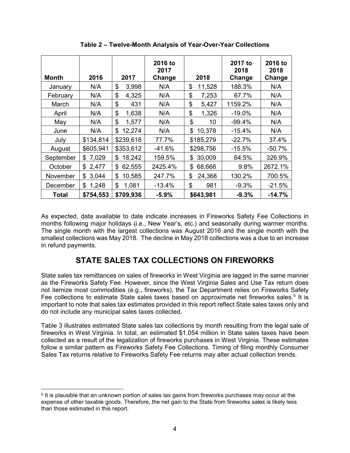| Month        | 2016        | 2017         | 2016 to<br>2017<br>Change | 2018         | 2017 to<br>2018<br>Change | 2016 to<br>2018<br>Change |
|--------------|-------------|--------------|---------------------------|--------------|---------------------------|---------------------------|
| January      | N/A         | \$<br>3,998  | N/A                       | \$<br>11,528 | 188.3%                    | N/A                       |
| February     | N/A         | \$<br>4,325  | N/A                       | \$<br>7,253  | 67.7%                     | N/A                       |
| March        | N/A         | \$<br>431    | N/A                       | \$<br>5,427  | 1159.2%                   | N/A                       |
| April        | N/A         | \$<br>1,638  | N/A                       | \$<br>1,326  | $-19.0%$                  | N/A                       |
| May          | N/A         | \$<br>1,577  | N/A                       | \$<br>10     | $-99.4%$                  | N/A                       |
| June         | N/A         | \$<br>12,274 | N/A                       | \$<br>10,378 | $-15.4%$                  | N/A                       |
| July         | \$134,814   | \$239,618    | 77.7%                     | \$185,279    | $-22.7%$                  | 37.4%                     |
| August       | \$605,941   | \$353,612    | $-41.6%$                  | \$298,756    | $-15.5%$                  | $-50.7%$                  |
| September    | \$7,029     | 18,242<br>\$ | 159.5%                    | \$<br>30,009 | 64.5%                     | 326.9%                    |
| October      | \$2,477     | \$<br>62,555 | 2425.4%                   | \$<br>68,666 | 9.8%                      | 2672.1%                   |
| November     | 3,044<br>\$ | \$<br>10,585 | 247.7%                    | \$<br>24,368 | 130.2%                    | 700.5%                    |
| December     | 1,248<br>\$ | \$<br>1,081  | $-13.4%$                  | \$<br>981    | $-9.3%$                   | $-21.5%$                  |
| <b>Total</b> | \$754,553   | \$709,936    | $-5.9%$                   | \$643,981    | $-9.3%$                   | $-14.7%$                  |

**Table 2 – Twelve-Month Analysis of Year-Over-Year Collections**

As expected, data available to date indicate increases in Fireworks Safety Fee Collections in months following major holidays (i.e., New Year's, etc.) and seasonally during warmer months. The single month with the largest collections was August 2016 and the single month with the smallest collections was May 2018. The decline in May 2018 collections was a due to an increase in refund payments.

## **STATE SALES TAX COLLECTIONS ON FIREWORKS**

<span id="page-4-0"></span>State sales tax remittances on sales of fireworks in West Virginia are lagged in the same manner as the Fireworks Safety Fee. However, since the West Virginia Sales and Use Tax return does not itemize most commodities (e.g., fireworks), the Tax Department relies on Fireworks Safety Fee collections to estimate State sales taxes based on approximate net fireworks sales.<sup>[5](#page-4-1)</sup> It is important to note that sales tax estimates provided in this report reflect State sales taxes only and do not include any municipal sales taxes collected.

Table 3 illustrates estimated State sales tax collections by month resulting from the legal sale of fireworks in West Virginia. In total, an estimated \$1.054 million in State sales taxes have been collected as a result of the legalization of fireworks purchases in West Virginia. These estimates follow a similar pattern as Fireworks Safety Fee Collections. Timing of filing monthly Consumer Sales Tax returns relative to Fireworks Safety Fee returns may alter actual collection trends.

<span id="page-4-1"></span> $\overline{a}$ <sup>5</sup> It is plausible that an unknown portion of sales tax gains from fireworks purchases may occur at the expense of other taxable goods. Therefore, the net gain to the State from fireworks sales is likely less than those estimated in this report.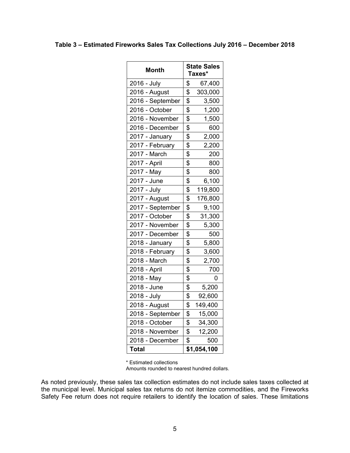| <b>Month</b>     | <b>State Sales</b><br>Taxes* |             |  |
|------------------|------------------------------|-------------|--|
| 2016 - July      | \$                           | 67,400      |  |
| 2016 - August    | \$                           | 303,000     |  |
| 2016 - September | \$                           | 3,500       |  |
| 2016 - October   | \$                           | 1,200       |  |
| 2016 - November  | \$                           | 1,500       |  |
| 2016 - December  | \$                           | 600         |  |
| 2017 - January   | \$                           | 2,000       |  |
| 2017 - February  | \$                           | 2,200       |  |
| 2017 - March     | $\overline{\mathbf{e}}$      | 200         |  |
| 2017 - April     | $\overline{\$}$              | 800         |  |
| 2017 - May       | \$                           | 800         |  |
| 2017 - June      | \$                           | 6,100       |  |
| 2017 - July      | \$                           | 119,800     |  |
| 2017 - August    | \$                           | 176,800     |  |
| 2017 - September | \$                           | 9,100       |  |
| 2017 - October   | \$                           | 31,300      |  |
| 2017 - November  | \$                           | 5,300       |  |
| 2017 - December  | $\overline{\mathbf{e}}$      | 500         |  |
| 2018 - January   | \$                           | 5,800       |  |
| 2018 - February  | \$                           | 3,600       |  |
| 2018 - March     | \$                           | 2,700       |  |
| 2018 - April     | \$                           | 700         |  |
| 2018 - May       | \$                           | 0           |  |
| 2018 - June      | \$                           | 5,200       |  |
| 2018 - July      | \$                           | 92,600      |  |
| 2018 - August    | \$                           | 149,400     |  |
| 2018 - September | \$                           | 15,000      |  |
| 2018 - October   | \$                           | 34,300      |  |
| 2018 - November  | \$                           | 12,200      |  |
| 2018 - December  | \$                           | 500         |  |
| <b>Total</b>     |                              | \$1,054,100 |  |

\* Estimated collections

Amounts rounded to nearest hundred dollars.

As noted previously, these sales tax collection estimates do not include sales taxes collected at the municipal level. Municipal sales tax returns do not itemize commodities, and the Fireworks Safety Fee return does not require retailers to identify the location of sales. These limitations